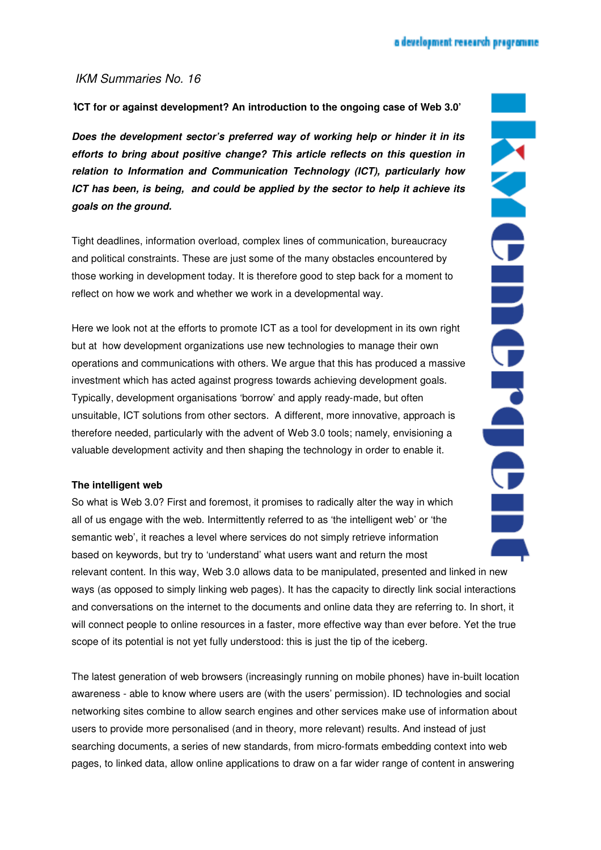## a development research programme.

## IKM Summaries No. 16

'**ICT for or against development? An introduction to the ongoing case of Web 3.0'** 

**Does the development sector's preferred way of working help or hinder it in its efforts to bring about positive change? This article reflects on this question in relation to Information and Communication Technology (ICT), particularly how ICT has been, is being, and could be applied by the sector to help it achieve its goals on the ground.**

Tight deadlines, information overload, complex lines of communication, bureaucracy and political constraints. These are just some of the many obstacles encountered by those working in development today. It is therefore good to step back for a moment to reflect on how we work and whether we work in a developmental way.

Here we look not at the efforts to promote ICT as a tool for development in its own right but at how development organizations use new technologies to manage their own operations and communications with others. We argue that this has produced a massive investment which has acted against progress towards achieving development goals. Typically, development organisations 'borrow' and apply ready-made, but often unsuitable, ICT solutions from other sectors. A different, more innovative, approach is therefore needed, particularly with the advent of Web 3.0 tools; namely, envisioning a valuable development activity and then shaping the technology in order to enable it.

## **The intelligent web**

So what is Web 3.0? First and foremost, it promises to radically alter the way in which all of us engage with the web. Intermittently referred to as 'the intelligent web' or 'the semantic web', it reaches a level where services do not simply retrieve information based on keywords, but try to 'understand' what users want and return the most

relevant content. In this way, Web 3.0 allows data to be manipulated, presented and linked in new ways (as opposed to simply linking web pages). It has the capacity to directly link social interactions and conversations on the internet to the documents and online data they are referring to. In short, it will connect people to online resources in a faster, more effective way than ever before. Yet the true scope of its potential is not yet fully understood: this is just the tip of the iceberg.

The latest generation of web browsers (increasingly running on mobile phones) have in-built location awareness - able to know where users are (with the users' permission). ID technologies and social networking sites combine to allow search engines and other services make use of information about users to provide more personalised (and in theory, more relevant) results. And instead of just searching documents, a series of new standards, from micro-formats embedding context into web pages, to linked data, allow online applications to draw on a far wider range of content in answering